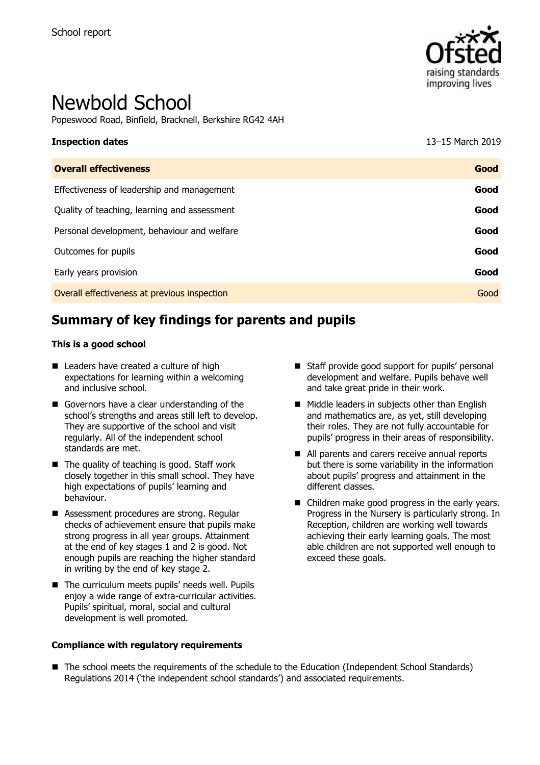

# Newbold School

Popeswood Road, Binfield, Bracknell, Berkshire RG42 4AH

| <b>Inspection dates</b>                      | 13-15 March 2019 |
|----------------------------------------------|------------------|
| <b>Overall effectiveness</b>                 | Good             |
| Effectiveness of leadership and management   | Good             |
| Quality of teaching, learning and assessment | Good             |
| Personal development, behaviour and welfare  | Good             |
| Outcomes for pupils                          | Good             |
| Early years provision                        | Good             |
| Overall effectiveness at previous inspection | Good             |
|                                              |                  |

# **Summary of key findings for parents and pupils**

#### **This is a good school**

- Leaders have created a culture of high expectations for learning within a welcoming and inclusive school.
- Governors have a clear understanding of the school's strengths and areas still left to develop. They are supportive of the school and visit regularly. All of the independent school standards are met.
- $\blacksquare$  The quality of teaching is good. Staff work closely together in this small school. They have high expectations of pupils' learning and behaviour.
- Assessment procedures are strong. Regular checks of achievement ensure that pupils make strong progress in all year groups. Attainment at the end of key stages 1 and 2 is good. Not enough pupils are reaching the higher standard in writing by the end of key stage 2.
- The curriculum meets pupils' needs well. Pupils enjoy a wide range of extra-curricular activities. Pupils' spiritual, moral, social and cultural development is well promoted.

#### **Compliance with regulatory requirements**

- Staff provide good support for pupils' personal development and welfare. Pupils behave well and take great pride in their work.
- $\blacksquare$  Middle leaders in subjects other than English and mathematics are, as yet, still developing their roles. They are not fully accountable for pupils' progress in their areas of responsibility.
- All parents and carers receive annual reports but there is some variability in the information about pupils' progress and attainment in the different classes.
- Children make good progress in the early years. Progress in the Nursery is particularly strong. In Reception, children are working well towards achieving their early learning goals. The most able children are not supported well enough to exceed these goals.

■ The school meets the requirements of the schedule to the Education (Independent School Standards) Regulations 2014 ('the independent school standards') and associated requirements.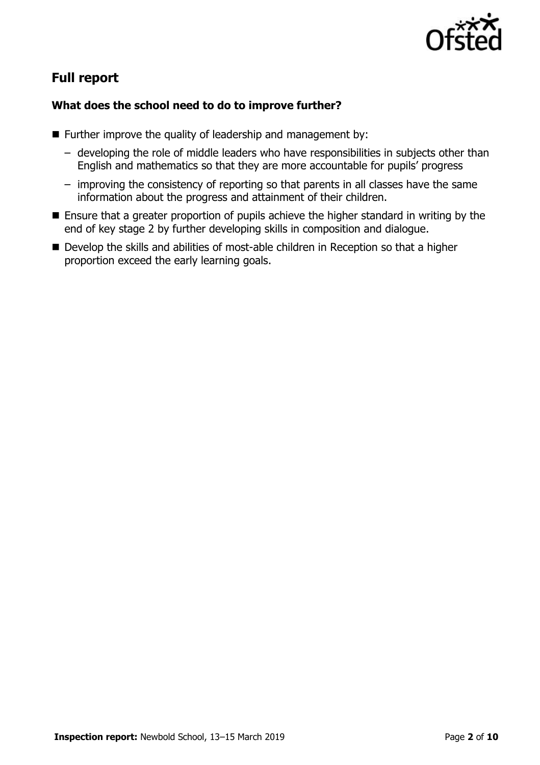

# **Full report**

### **What does the school need to do to improve further?**

- $\blacksquare$  Further improve the quality of leadership and management by:
	- developing the role of middle leaders who have responsibilities in subjects other than English and mathematics so that they are more accountable for pupils' progress
	- improving the consistency of reporting so that parents in all classes have the same information about the progress and attainment of their children.
- Ensure that a greater proportion of pupils achieve the higher standard in writing by the end of key stage 2 by further developing skills in composition and dialogue.
- Develop the skills and abilities of most-able children in Reception so that a higher proportion exceed the early learning goals.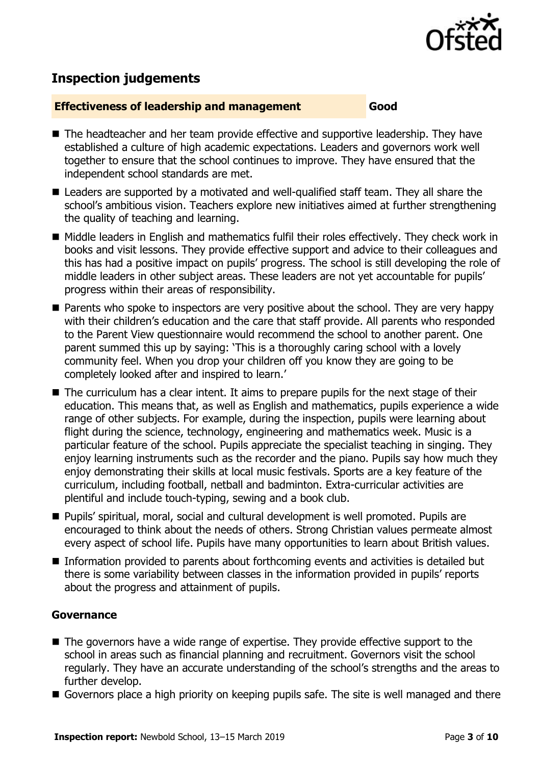

# **Inspection judgements**

#### **Effectiveness of leadership and management Good**

- The headteacher and her team provide effective and supportive leadership. They have established a culture of high academic expectations. Leaders and governors work well together to ensure that the school continues to improve. They have ensured that the independent school standards are met.
- Leaders are supported by a motivated and well-qualified staff team. They all share the school's ambitious vision. Teachers explore new initiatives aimed at further strengthening the quality of teaching and learning.
- Middle leaders in English and mathematics fulfil their roles effectively. They check work in books and visit lessons. They provide effective support and advice to their colleagues and this has had a positive impact on pupils' progress. The school is still developing the role of middle leaders in other subject areas. These leaders are not yet accountable for pupils' progress within their areas of responsibility.
- **Parents who spoke to inspectors are very positive about the school. They are very happy** with their children's education and the care that staff provide. All parents who responded to the Parent View questionnaire would recommend the school to another parent. One parent summed this up by saying: 'This is a thoroughly caring school with a lovely community feel. When you drop your children off you know they are going to be completely looked after and inspired to learn.'
- The curriculum has a clear intent. It aims to prepare pupils for the next stage of their education. This means that, as well as English and mathematics, pupils experience a wide range of other subjects. For example, during the inspection, pupils were learning about flight during the science, technology, engineering and mathematics week. Music is a particular feature of the school. Pupils appreciate the specialist teaching in singing. They enjoy learning instruments such as the recorder and the piano. Pupils say how much they enjoy demonstrating their skills at local music festivals. Sports are a key feature of the curriculum, including football, netball and badminton. Extra-curricular activities are plentiful and include touch-typing, sewing and a book club.
- Pupils' spiritual, moral, social and cultural development is well promoted. Pupils are encouraged to think about the needs of others. Strong Christian values permeate almost every aspect of school life. Pupils have many opportunities to learn about British values.
- Information provided to parents about forthcoming events and activities is detailed but there is some variability between classes in the information provided in pupils' reports about the progress and attainment of pupils.

#### **Governance**

- The governors have a wide range of expertise. They provide effective support to the school in areas such as financial planning and recruitment. Governors visit the school regularly. They have an accurate understanding of the school's strengths and the areas to further develop.
- Governors place a high priority on keeping pupils safe. The site is well managed and there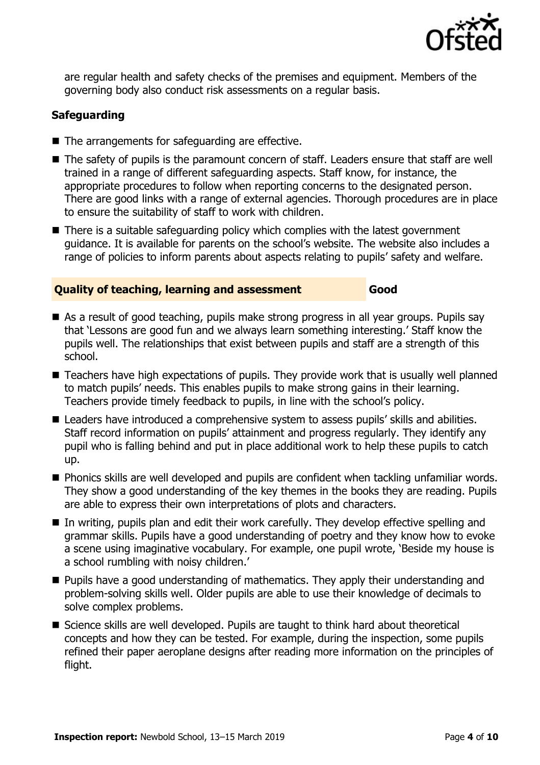

are regular health and safety checks of the premises and equipment. Members of the governing body also conduct risk assessments on a regular basis.

### **Safeguarding**

- The arrangements for safeguarding are effective.
- The safety of pupils is the paramount concern of staff. Leaders ensure that staff are well trained in a range of different safeguarding aspects. Staff know, for instance, the appropriate procedures to follow when reporting concerns to the designated person. There are good links with a range of external agencies. Thorough procedures are in place to ensure the suitability of staff to work with children.
- There is a suitable safeguarding policy which complies with the latest government guidance. It is available for parents on the school's website. The website also includes a range of policies to inform parents about aspects relating to pupils' safety and welfare.

#### **Quality of teaching, learning and assessment Good**

- As a result of good teaching, pupils make strong progress in all year groups. Pupils say that 'Lessons are good fun and we always learn something interesting.' Staff know the pupils well. The relationships that exist between pupils and staff are a strength of this school.
- Teachers have high expectations of pupils. They provide work that is usually well planned to match pupils' needs. This enables pupils to make strong gains in their learning. Teachers provide timely feedback to pupils, in line with the school's policy.
- Leaders have introduced a comprehensive system to assess pupils' skills and abilities. Staff record information on pupils' attainment and progress regularly. They identify any pupil who is falling behind and put in place additional work to help these pupils to catch up.
- **Phonics skills are well developed and pupils are confident when tackling unfamiliar words.** They show a good understanding of the key themes in the books they are reading. Pupils are able to express their own interpretations of plots and characters.
- In writing, pupils plan and edit their work carefully. They develop effective spelling and grammar skills. Pupils have a good understanding of poetry and they know how to evoke a scene using imaginative vocabulary. For example, one pupil wrote, 'Beside my house is a school rumbling with noisy children.'
- **Pupils have a good understanding of mathematics. They apply their understanding and** problem-solving skills well. Older pupils are able to use their knowledge of decimals to solve complex problems.
- Science skills are well developed. Pupils are taught to think hard about theoretical concepts and how they can be tested. For example, during the inspection, some pupils refined their paper aeroplane designs after reading more information on the principles of flight.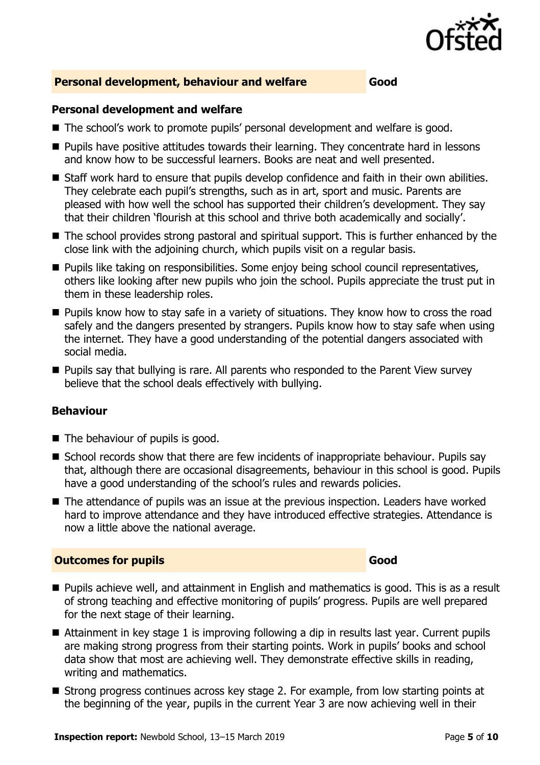

#### **Personal development, behaviour and welfare Good**

#### **Personal development and welfare**

- The school's work to promote pupils' personal development and welfare is good.
- **Pupils have positive attitudes towards their learning. They concentrate hard in lessons** and know how to be successful learners. Books are neat and well presented.
- Staff work hard to ensure that pupils develop confidence and faith in their own abilities. They celebrate each pupil's strengths, such as in art, sport and music. Parents are pleased with how well the school has supported their children's development. They say that their children 'flourish at this school and thrive both academically and socially'.
- The school provides strong pastoral and spiritual support. This is further enhanced by the close link with the adjoining church, which pupils visit on a regular basis.
- **Pupils like taking on responsibilities. Some enjoy being school council representatives,** others like looking after new pupils who join the school. Pupils appreciate the trust put in them in these leadership roles.
- **Pupils know how to stay safe in a variety of situations. They know how to cross the road** safely and the dangers presented by strangers. Pupils know how to stay safe when using the internet. They have a good understanding of the potential dangers associated with social media.
- **Pupils say that bullying is rare. All parents who responded to the Parent View survey** believe that the school deals effectively with bullying.

#### **Behaviour**

- $\blacksquare$  The behaviour of pupils is good.
- School records show that there are few incidents of inappropriate behaviour. Pupils say that, although there are occasional disagreements, behaviour in this school is good. Pupils have a good understanding of the school's rules and rewards policies.
- The attendance of pupils was an issue at the previous inspection. Leaders have worked hard to improve attendance and they have introduced effective strategies. Attendance is now a little above the national average.

#### **Outcomes for pupils Good**

- **Pupils achieve well, and attainment in English and mathematics is good. This is as a result** of strong teaching and effective monitoring of pupils' progress. Pupils are well prepared for the next stage of their learning.
- Attainment in key stage 1 is improving following a dip in results last year. Current pupils are making strong progress from their starting points. Work in pupils' books and school data show that most are achieving well. They demonstrate effective skills in reading, writing and mathematics.
- Strong progress continues across key stage 2. For example, from low starting points at the beginning of the year, pupils in the current Year 3 are now achieving well in their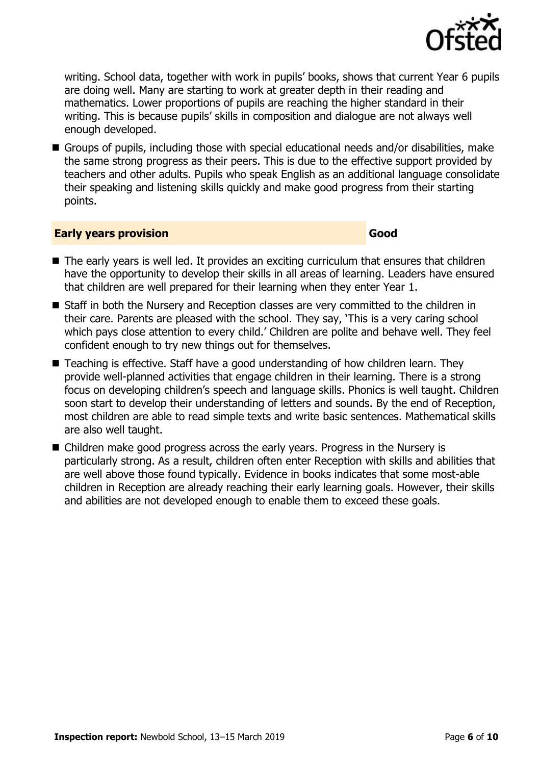

writing. School data, together with work in pupils' books, shows that current Year 6 pupils are doing well. Many are starting to work at greater depth in their reading and mathematics. Lower proportions of pupils are reaching the higher standard in their writing. This is because pupils' skills in composition and dialogue are not always well enough developed.

Groups of pupils, including those with special educational needs and/or disabilities, make the same strong progress as their peers. This is due to the effective support provided by teachers and other adults. Pupils who speak English as an additional language consolidate their speaking and listening skills quickly and make good progress from their starting points.

#### **Early years provision Good Good**

- The early years is well led. It provides an exciting curriculum that ensures that children have the opportunity to develop their skills in all areas of learning. Leaders have ensured that children are well prepared for their learning when they enter Year 1.
- Staff in both the Nursery and Reception classes are very committed to the children in their care. Parents are pleased with the school. They say, 'This is a very caring school which pays close attention to every child.' Children are polite and behave well. They feel confident enough to try new things out for themselves.
- Teaching is effective. Staff have a good understanding of how children learn. They provide well-planned activities that engage children in their learning. There is a strong focus on developing children's speech and language skills. Phonics is well taught. Children soon start to develop their understanding of letters and sounds. By the end of Reception, most children are able to read simple texts and write basic sentences. Mathematical skills are also well taught.
- Children make good progress across the early years. Progress in the Nursery is particularly strong. As a result, children often enter Reception with skills and abilities that are well above those found typically. Evidence in books indicates that some most-able children in Reception are already reaching their early learning goals. However, their skills and abilities are not developed enough to enable them to exceed these goals.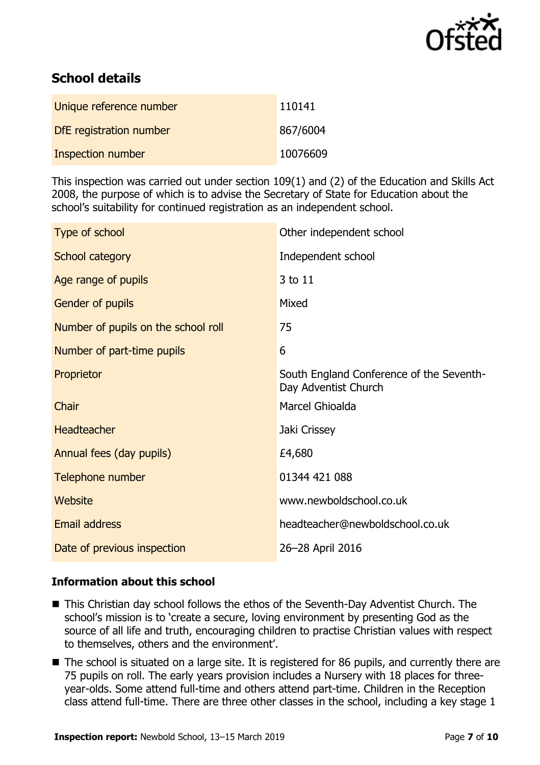

# **School details**

| Unique reference number | 110141   |
|-------------------------|----------|
| DfE registration number | 867/6004 |
| Inspection number       | 10076609 |

This inspection was carried out under section 109(1) and (2) of the Education and Skills Act 2008, the purpose of which is to advise the Secretary of State for Education about the school's suitability for continued registration as an independent school.

| Type of school                      | Other independent school                                         |
|-------------------------------------|------------------------------------------------------------------|
| School category                     | Independent school                                               |
| Age range of pupils                 | 3 to 11                                                          |
| Gender of pupils                    | Mixed                                                            |
| Number of pupils on the school roll | 75                                                               |
| Number of part-time pupils          | 6                                                                |
| Proprietor                          | South England Conference of the Seventh-<br>Day Adventist Church |
| Chair                               | Marcel Ghioalda                                                  |
| <b>Headteacher</b>                  | Jaki Crissey                                                     |
| Annual fees (day pupils)            | £4,680                                                           |
| Telephone number                    | 01344 421 088                                                    |
| Website                             | www.newboldschool.co.uk                                          |
| <b>Email address</b>                | headteacher@newboldschool.co.uk                                  |
| Date of previous inspection         | 26-28 April 2016                                                 |

#### **Information about this school**

- This Christian day school follows the ethos of the Seventh-Day Adventist Church. The school's mission is to 'create a secure, loving environment by presenting God as the source of all life and truth, encouraging children to practise Christian values with respect to themselves, others and the environment'.
- The school is situated on a large site. It is registered for 86 pupils, and currently there are 75 pupils on roll. The early years provision includes a Nursery with 18 places for threeyear-olds. Some attend full-time and others attend part-time. Children in the Reception class attend full-time. There are three other classes in the school, including a key stage 1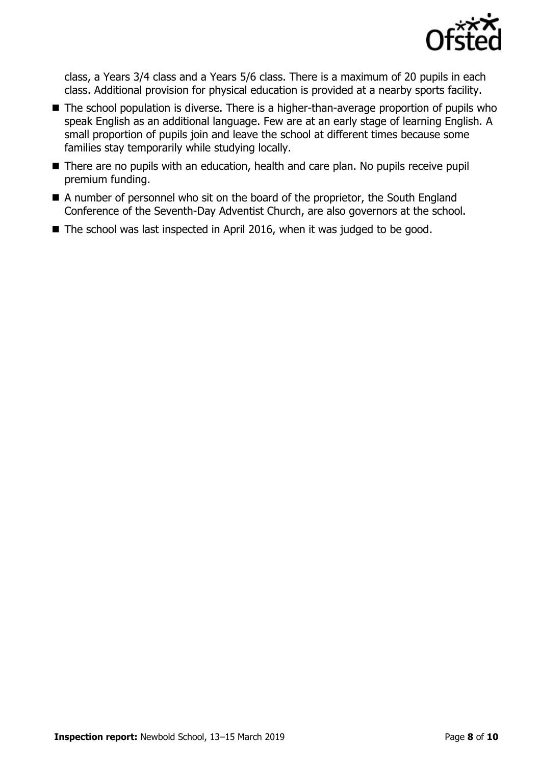

class, a Years 3/4 class and a Years 5/6 class. There is a maximum of 20 pupils in each class. Additional provision for physical education is provided at a nearby sports facility.

- The school population is diverse. There is a higher-than-average proportion of pupils who speak English as an additional language. Few are at an early stage of learning English. A small proportion of pupils join and leave the school at different times because some families stay temporarily while studying locally.
- There are no pupils with an education, health and care plan. No pupils receive pupil premium funding.
- A number of personnel who sit on the board of the proprietor, the South England Conference of the Seventh-Day Adventist Church, are also governors at the school.
- The school was last inspected in April 2016, when it was judged to be good.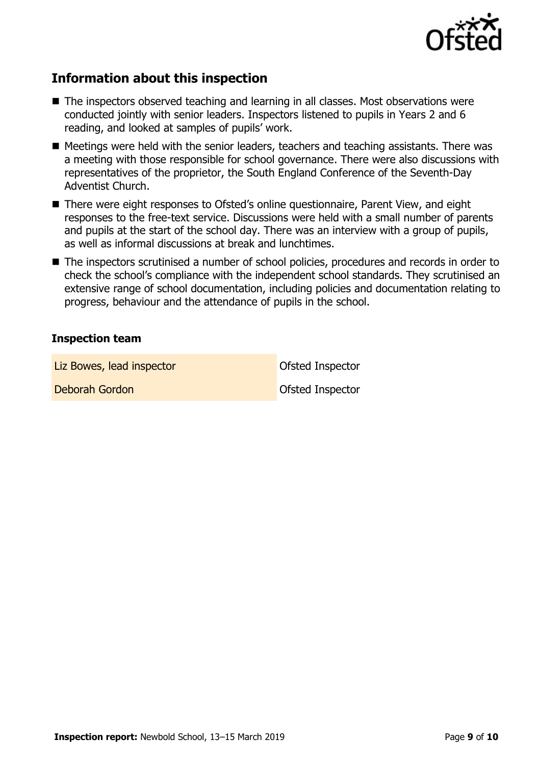

## **Information about this inspection**

- The inspectors observed teaching and learning in all classes. Most observations were conducted jointly with senior leaders. Inspectors listened to pupils in Years 2 and 6 reading, and looked at samples of pupils' work.
- Meetings were held with the senior leaders, teachers and teaching assistants. There was a meeting with those responsible for school governance. There were also discussions with representatives of the proprietor, the South England Conference of the Seventh-Day Adventist Church.
- There were eight responses to Ofsted's online questionnaire, Parent View, and eight responses to the free-text service. Discussions were held with a small number of parents and pupils at the start of the school day. There was an interview with a group of pupils, as well as informal discussions at break and lunchtimes.
- The inspectors scrutinised a number of school policies, procedures and records in order to check the school's compliance with the independent school standards. They scrutinised an extensive range of school documentation, including policies and documentation relating to progress, behaviour and the attendance of pupils in the school.

#### **Inspection team**

Liz Bowes, lead inspector and offsted Inspector

**Deborah Gordon Ofsted Inspector**